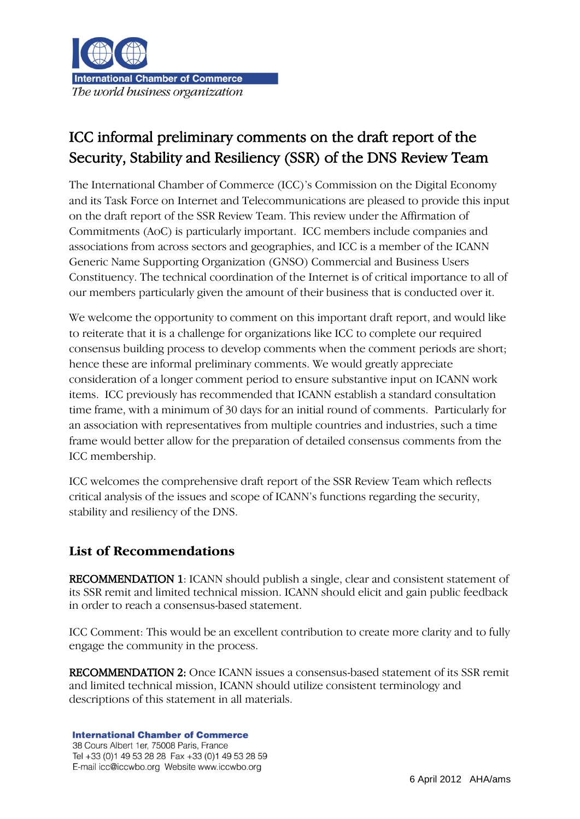

rnational Chamber of Commerce The world business organization

## ICC informal preliminary comments on the draft report of the Security, Stability and Resiliency (SSR) of the DNS Review Team

The International Chamber of Commerce (ICC)'s Commission on the Digital Economy and its Task Force on Internet and Telecommunications are pleased to provide this input on the draft report of the SSR Review Team. This review under the Affirmation of Commitments (AoC) is particularly important. ICC members include companies and associations from across sectors and geographies, and ICC is a member of the ICANN Generic Name Supporting Organization (GNSO) Commercial and Business Users Constituency. The technical coordination of the Internet is of critical importance to all of our members particularly given the amount of their business that is conducted over it.

We welcome the opportunity to comment on this important draft report, and would like to reiterate that it is a challenge for organizations like ICC to complete our required consensus building process to develop comments when the comment periods are short; hence these are informal preliminary comments. We would greatly appreciate consideration of a longer comment period to ensure substantive input on ICANN work items. ICC previously has recommended that ICANN establish a standard consultation time frame, with a minimum of 30 days for an initial round of comments. Particularly for an association with representatives from multiple countries and industries, such a time frame would better allow for the preparation of detailed consensus comments from the ICC membership.

ICC welcomes the comprehensive draft report of the SSR Review Team which reflects critical analysis of the issues and scope of ICANN's functions regarding the security, stability and resiliency of the DNS.

## **List of Recommendations**

RECOMMENDATION 1: ICANN should publish a single, clear and consistent statement of its SSR remit and limited technical mission. ICANN should elicit and gain public feedback in order to reach a consensus-based statement.

ICC Comment: This would be an excellent contribution to create more clarity and to fully engage the community in the process.

RECOMMENDATION 2: Once ICANN issues a consensus-based statement of its SSR remit and limited technical mission, ICANN should utilize consistent terminology and descriptions of this statement in all materials.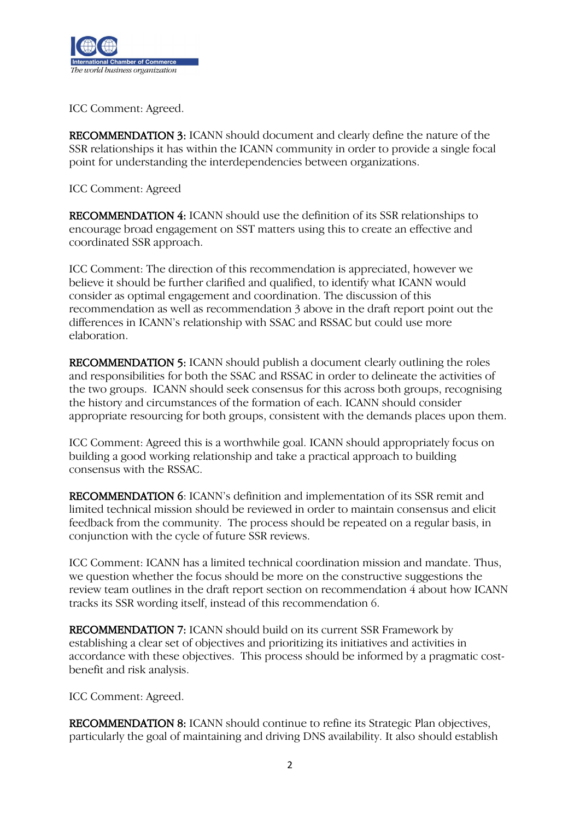

ICC Comment: Agreed.

RECOMMENDATION 3: ICANN should document and clearly define the nature of the SSR relationships it has within the ICANN community in order to provide a single focal point for understanding the interdependencies between organizations.

ICC Comment: Agreed

RECOMMENDATION 4: ICANN should use the definition of its SSR relationships to encourage broad engagement on SST matters using this to create an effective and coordinated SSR approach.

ICC Comment: The direction of this recommendation is appreciated, however we believe it should be further clarified and qualified, to identify what ICANN would consider as optimal engagement and coordination. The discussion of this recommendation as well as recommendation 3 above in the draft report point out the differences in ICANN's relationship with SSAC and RSSAC but could use more elaboration.

RECOMMENDATION 5: ICANN should publish a document clearly outlining the roles and responsibilities for both the SSAC and RSSAC in order to delineate the activities of the two groups. ICANN should seek consensus for this across both groups, recognising the history and circumstances of the formation of each. ICANN should consider appropriate resourcing for both groups, consistent with the demands places upon them.

ICC Comment: Agreed this is a worthwhile goal. ICANN should appropriately focus on building a good working relationship and take a practical approach to building consensus with the RSSAC.

RECOMMENDATION 6: ICANN's definition and implementation of its SSR remit and limited technical mission should be reviewed in order to maintain consensus and elicit feedback from the community. The process should be repeated on a regular basis, in conjunction with the cycle of future SSR reviews.

ICC Comment: ICANN has a limited technical coordination mission and mandate. Thus, we question whether the focus should be more on the constructive suggestions the review team outlines in the draft report section on recommendation 4 about how ICANN tracks its SSR wording itself, instead of this recommendation 6.

RECOMMENDATION 7: ICANN should build on its current SSR Framework by establishing a clear set of objectives and prioritizing its initiatives and activities in accordance with these objectives. This process should be informed by a pragmatic costbenefit and risk analysis.

ICC Comment: Agreed.

RECOMMENDATION 8: ICANN should continue to refine its Strategic Plan objectives, particularly the goal of maintaining and driving DNS availability. It also should establish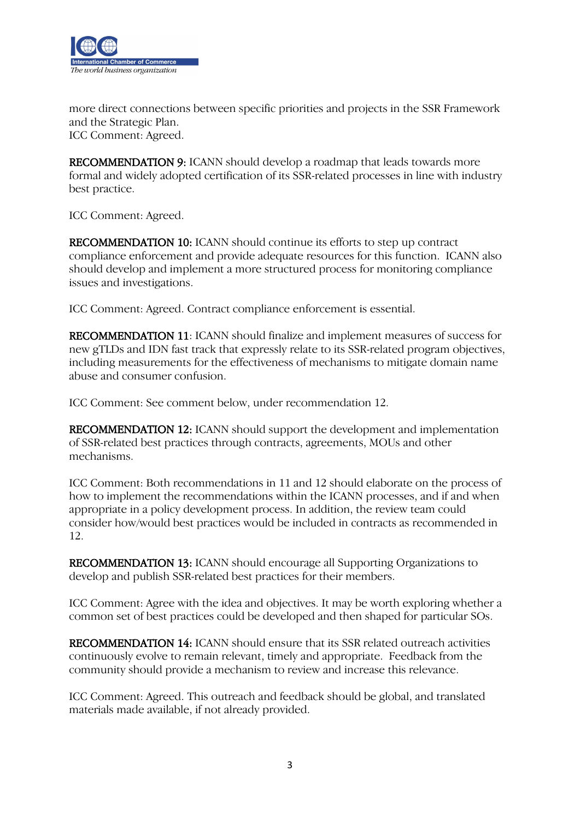

more direct connections between specific priorities and projects in the SSR Framework and the Strategic Plan. ICC Comment: Agreed.

RECOMMENDATION 9: ICANN should develop a roadmap that leads towards more formal and widely adopted certification of its SSR-related processes in line with industry best practice.

ICC Comment: Agreed.

RECOMMENDATION 10: ICANN should continue its efforts to step up contract compliance enforcement and provide adequate resources for this function. ICANN also should develop and implement a more structured process for monitoring compliance issues and investigations.

ICC Comment: Agreed. Contract compliance enforcement is essential.

RECOMMENDATION 11: ICANN should finalize and implement measures of success for new gTLDs and IDN fast track that expressly relate to its SSR-related program objectives, including measurements for the effectiveness of mechanisms to mitigate domain name abuse and consumer confusion.

ICC Comment: See comment below, under recommendation 12.

RECOMMENDATION 12: ICANN should support the development and implementation of SSR-related best practices through contracts, agreements, MOUs and other mechanisms.

ICC Comment: Both recommendations in 11 and 12 should elaborate on the process of how to implement the recommendations within the ICANN processes, and if and when appropriate in a policy development process. In addition, the review team could consider how/would best practices would be included in contracts as recommended in 12.

RECOMMENDATION 13: ICANN should encourage all Supporting Organizations to develop and publish SSR-related best practices for their members.

ICC Comment: Agree with the idea and objectives. It may be worth exploring whether a common set of best practices could be developed and then shaped for particular SOs.

RECOMMENDATION 14: ICANN should ensure that its SSR related outreach activities continuously evolve to remain relevant, timely and appropriate. Feedback from the community should provide a mechanism to review and increase this relevance.

ICC Comment: Agreed. This outreach and feedback should be global, and translated materials made available, if not already provided.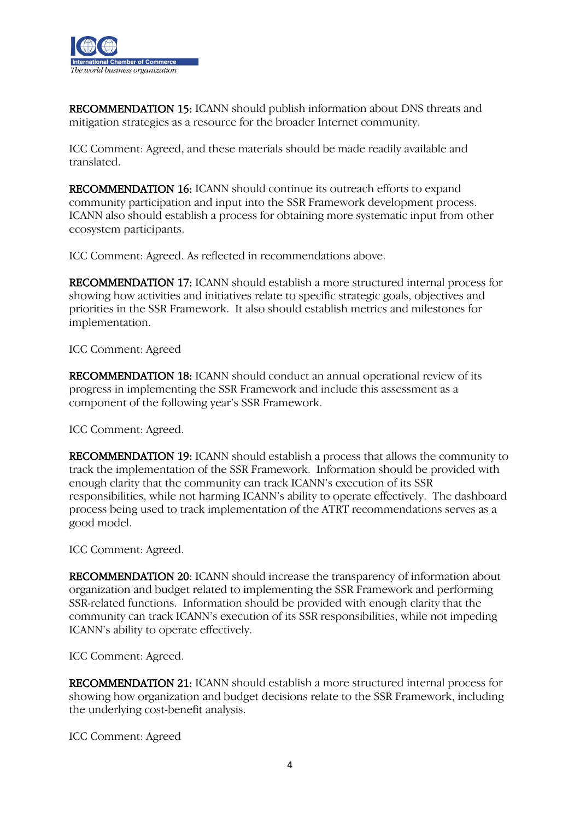

RECOMMENDATION 15: ICANN should publish information about DNS threats and mitigation strategies as a resource for the broader Internet community.

ICC Comment: Agreed, and these materials should be made readily available and translated.

RECOMMENDATION 16: ICANN should continue its outreach efforts to expand community participation and input into the SSR Framework development process. ICANN also should establish a process for obtaining more systematic input from other ecosystem participants.

ICC Comment: Agreed. As reflected in recommendations above.

RECOMMENDATION 17: ICANN should establish a more structured internal process for showing how activities and initiatives relate to specific strategic goals, objectives and priorities in the SSR Framework. It also should establish metrics and milestones for implementation.

ICC Comment: Agreed

RECOMMENDATION 18: ICANN should conduct an annual operational review of its progress in implementing the SSR Framework and include this assessment as a component of the following year's SSR Framework.

ICC Comment: Agreed.

RECOMMENDATION 19: ICANN should establish a process that allows the community to track the implementation of the SSR Framework. Information should be provided with enough clarity that the community can track ICANN's execution of its SSR responsibilities, while not harming ICANN's ability to operate effectively. The dashboard process being used to track implementation of the ATRT recommendations serves as a good model.

ICC Comment: Agreed.

RECOMMENDATION 20: ICANN should increase the transparency of information about organization and budget related to implementing the SSR Framework and performing SSR-related functions. Information should be provided with enough clarity that the community can track ICANN's execution of its SSR responsibilities, while not impeding ICANN's ability to operate effectively.

ICC Comment: Agreed.

RECOMMENDATION 21: ICANN should establish a more structured internal process for showing how organization and budget decisions relate to the SSR Framework, including the underlying cost-benefit analysis.

ICC Comment: Agreed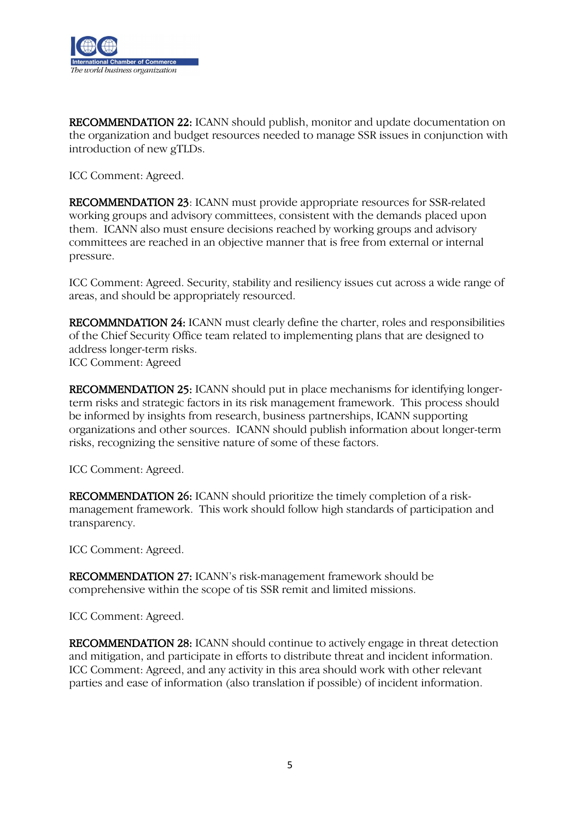

RECOMMENDATION 22: ICANN should publish, monitor and update documentation on the organization and budget resources needed to manage SSR issues in conjunction with introduction of new gTLDs.

ICC Comment: Agreed.

RECOMMENDATION 23: ICANN must provide appropriate resources for SSR-related working groups and advisory committees, consistent with the demands placed upon them. ICANN also must ensure decisions reached by working groups and advisory committees are reached in an objective manner that is free from external or internal pressure.

ICC Comment: Agreed. Security, stability and resiliency issues cut across a wide range of areas, and should be appropriately resourced.

RECOMMNDATION 24: ICANN must clearly define the charter, roles and responsibilities of the Chief Security Office team related to implementing plans that are designed to address longer-term risks. ICC Comment: Agreed

RECOMMENDATION 25: ICANN should put in place mechanisms for identifying longerterm risks and strategic factors in its risk management framework. This process should be informed by insights from research, business partnerships, ICANN supporting organizations and other sources. ICANN should publish information about longer-term risks, recognizing the sensitive nature of some of these factors.

ICC Comment: Agreed.

RECOMMENDATION 26: ICANN should prioritize the timely completion of a riskmanagement framework. This work should follow high standards of participation and transparency.

ICC Comment: Agreed.

RECOMMENDATION 27: ICANN's risk-management framework should be comprehensive within the scope of tis SSR remit and limited missions.

ICC Comment: Agreed.

RECOMMENDATION 28: ICANN should continue to actively engage in threat detection and mitigation, and participate in efforts to distribute threat and incident information. ICC Comment: Agreed, and any activity in this area should work with other relevant parties and ease of information (also translation if possible) of incident information.